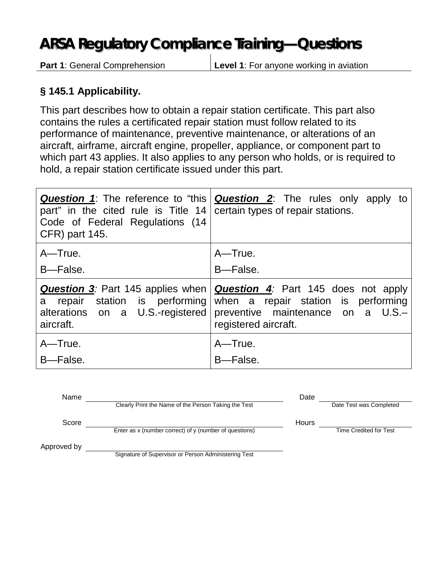## **ARSA Regulatory Compliance Training—Questions**

**Part 1**: General Comprehension **Level 1**: For anyone working in aviation

## **§ 145.1 Applicability.**

This part describes how to obtain a repair station certificate. This part also contains the rules a certificated repair station must follow related to its performance of maintenance, preventive maintenance, or alterations of an aircraft, airframe, aircraft engine, propeller, appliance, or component part to which part 43 applies. It also applies to any person who holds, or is required to hold, a repair station certificate issued under this part.

| part" in the cited rule is Title 14<br>Code of Federal Regulations (14<br><b>CFR</b> ) part 145. | <b>Question 1</b> : The reference to "this   <b>Question 2</b> : The rules only apply to<br>certain types of repair stations.                                                                                              |
|--------------------------------------------------------------------------------------------------|----------------------------------------------------------------------------------------------------------------------------------------------------------------------------------------------------------------------------|
| A-True.                                                                                          | A-True.                                                                                                                                                                                                                    |
| B-False.                                                                                         | B-False.                                                                                                                                                                                                                   |
| alterations on a U.S.-registered<br>aircraft.                                                    | <b>Question 3</b> : Part 145 applies when   <b>Question 4</b> : Part 145 does not apply<br>a repair station is performing when a repair station is performing<br>preventive maintenance on a U.S.-<br>registered aircraft. |
| A-True.<br>B-False.                                                                              | A-True.<br>B-False.                                                                                                                                                                                                        |

| Name        |                                                        | Date         |                         |
|-------------|--------------------------------------------------------|--------------|-------------------------|
|             | Clearly Print the Name of the Person Taking the Test   |              | Date Test was Completed |
| Score       |                                                        | <b>Hours</b> |                         |
|             | Enter as x (number correct) of y (number of questions) |              | Time Credited for Test  |
| Approved by |                                                        |              |                         |
|             | Signature of Supervisor or Person Administering Test   |              |                         |